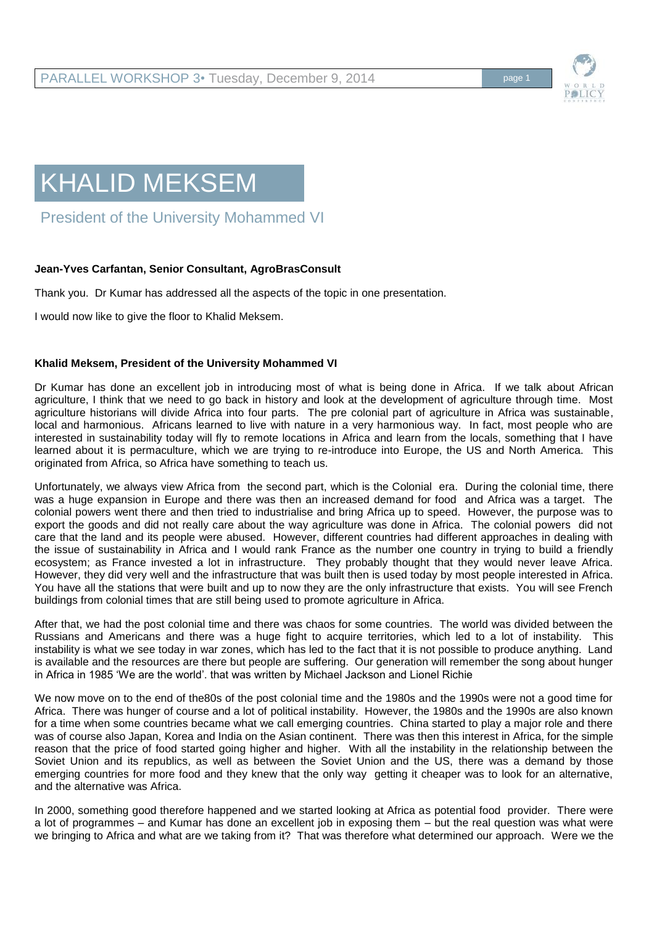

## KHALID MEKSEM

President of the University Mohammed VI

## **Jean-Yves Carfantan, Senior Consultant, AgroBrasConsult**

Thank you. Dr Kumar has addressed all the aspects of the topic in one presentation.

I would now like to give the floor to Khalid Meksem.

## **Khalid Meksem, President of the University Mohammed VI**

Dr Kumar has done an excellent job in introducing most of what is being done in Africa. If we talk about African agriculture, I think that we need to go back in history and look at the development of agriculture through time. Most agriculture historians will divide Africa into four parts. The pre colonial part of agriculture in Africa was sustainable, local and harmonious. Africans learned to live with nature in a very harmonious way. In fact, most people who are interested in sustainability today will fly to remote locations in Africa and learn from the locals, something that I have learned about it is permaculture, which we are trying to re-introduce into Europe, the US and North America. This originated from Africa, so Africa have something to teach us.

Unfortunately, we always view Africa from the second part, which is the Colonial era. During the colonial time, there was a huge expansion in Europe and there was then an increased demand for food and Africa was a target. The colonial powers went there and then tried to industrialise and bring Africa up to speed. However, the purpose was to export the goods and did not really care about the way agriculture was done in Africa. The colonial powers did not care that the land and its people were abused. However, different countries had different approaches in dealing with the issue of sustainability in Africa and I would rank France as the number one country in trying to build a friendly ecosystem; as France invested a lot in infrastructure. They probably thought that they would never leave Africa. However, they did very well and the infrastructure that was built then is used today by most people interested in Africa. You have all the stations that were built and up to now they are the only infrastructure that exists. You will see French buildings from colonial times that are still being used to promote agriculture in Africa.

After that, we had the post colonial time and there was chaos for some countries. The world was divided between the Russians and Americans and there was a huge fight to acquire territories, which led to a lot of instability. This instability is what we see today in war zones, which has led to the fact that it is not possible to produce anything. Land is available and the resources are there but people are suffering. Our generation will remember the song about hunger in Africa in 1985 'We are the world'. that was written by Michael Jackson and Lionel Richie

We now move on to the end of the80s of the post colonial time and the 1980s and the 1990s were not a good time for Africa. There was hunger of course and a lot of political instability. However, the 1980s and the 1990s are also known for a time when some countries became what we call emerging countries. China started to play a major role and there was of course also Japan, Korea and India on the Asian continent. There was then this interest in Africa, for the simple reason that the price of food started going higher and higher. With all the instability in the relationship between the Soviet Union and its republics, as well as between the Soviet Union and the US, there was a demand by those emerging countries for more food and they knew that the only way getting it cheaper was to look for an alternative, and the alternative was Africa.

In 2000, something good therefore happened and we started looking at Africa as potential food provider. There were a lot of programmes – and Kumar has done an excellent job in exposing them – but the real question was what were we bringing to Africa and what are we taking from it? That was therefore what determined our approach. Were we the